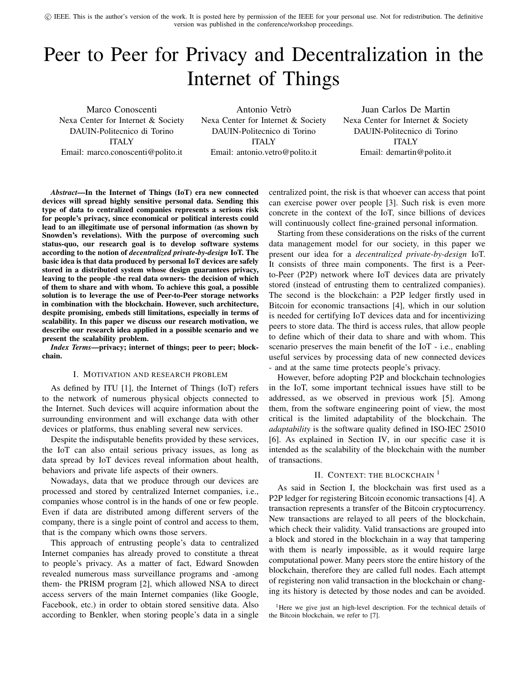c IEEE. This is the author's version of the work. It is posted here by permission of the IEEE for your personal use. Not for redistribution. The definitive version was published in the conference/workshop proceedings.

# Peer to Peer for Privacy and Decentralization in the Internet of Things

Marco Conoscenti Nexa Center for Internet & Society DAUIN-Politecnico di Torino ITALY Email: marco.conoscenti@polito.it

Antonio Vetrò Nexa Center for Internet & Society DAUIN-Politecnico di Torino ITALY Email: antonio.vetro@polito.it

Juan Carlos De Martin Nexa Center for Internet & Society DAUIN-Politecnico di Torino ITALY Email: demartin@polito.it

*Abstract*—In the Internet of Things (IoT) era new connected devices will spread highly sensitive personal data. Sending this type of data to centralized companies represents a serious risk for people's privacy, since economical or political interests could lead to an illegitimate use of personal information (as shown by Snowden's revelations). With the purpose of overcoming such status-quo, our research goal is to develop software systems according to the notion of *decentralized private-by-design* IoT. The basic idea is that data produced by personal IoT devices are safely stored in a distributed system whose design guarantees privacy, leaving to the people -the real data owners- the decision of which of them to share and with whom. To achieve this goal, a possible solution is to leverage the use of Peer-to-Peer storage networks in combination with the blockchain. However, such architecture, despite promising, embeds still limitations, especially in terms of scalability. In this paper we discuss our research motivation, we describe our research idea applied in a possible scenario and we present the scalability problem.

*Index Terms*—privacy; internet of things; peer to peer; blockchain.

## I. MOTIVATION AND RESEARCH PROBLEM

As defined by ITU [1], the Internet of Things (IoT) refers to the network of numerous physical objects connected to the Internet. Such devices will acquire information about the surrounding environment and will exchange data with other devices or platforms, thus enabling several new services.

Despite the indisputable benefits provided by these services, the IoT can also entail serious privacy issues, as long as data spread by IoT devices reveal information about health, behaviors and private life aspects of their owners.

Nowadays, data that we produce through our devices are processed and stored by centralized Internet companies, i.e., companies whose control is in the hands of one or few people. Even if data are distributed among different servers of the company, there is a single point of control and access to them, that is the company which owns those servers.

This approach of entrusting people's data to centralized Internet companies has already proved to constitute a threat to people's privacy. As a matter of fact, Edward Snowden revealed numerous mass surveillance programs and -among them- the PRISM program [2], which allowed NSA to direct access servers of the main Internet companies (like Google, Facebook, etc.) in order to obtain stored sensitive data. Also according to Benkler, when storing people's data in a single

centralized point, the risk is that whoever can access that point can exercise power over people [3]. Such risk is even more concrete in the context of the IoT, since billions of devices will continuously collect fine-grained personal information.

Starting from these considerations on the risks of the current data management model for our society, in this paper we present our idea for a *decentralized private-by-design* IoT. It consists of three main components. The first is a Peerto-Peer (P2P) network where IoT devices data are privately stored (instead of entrusting them to centralized companies). The second is the blockchain: a P2P ledger firstly used in Bitcoin for economic transactions [4], which in our solution is needed for certifying IoT devices data and for incentivizing peers to store data. The third is access rules, that allow people to define which of their data to share and with whom. This scenario preserves the main benefit of the IoT - i.e., enabling useful services by processing data of new connected devices - and at the same time protects people's privacy.

However, before adopting P2P and blockchain technologies in the IoT, some important technical issues have still to be addressed, as we observed in previous work [5]. Among them, from the software engineering point of view, the most critical is the limited adaptability of the blockchain. The *adaptability* is the software quality defined in ISO-IEC 25010 [6]. As explained in Section IV, in our specific case it is intended as the scalability of the blockchain with the number of transactions.

## II. CONTEXT: THE BLOCKCHAIN<sup>1</sup>

As said in Section I, the blockchain was first used as a P2P ledger for registering Bitcoin economic transactions [4]. A transaction represents a transfer of the Bitcoin cryptocurrency. New transactions are relayed to all peers of the blockchain, which check their validity. Valid transactions are grouped into a block and stored in the blockchain in a way that tampering with them is nearly impossible, as it would require large computational power. Many peers store the entire history of the blockchain, therefore they are called full nodes. Each attempt of registering non valid transaction in the blockchain or changing its history is detected by those nodes and can be avoided.

<sup>1</sup>Here we give just an high-level description. For the technical details of the Bitcoin blockchain, we refer to [7].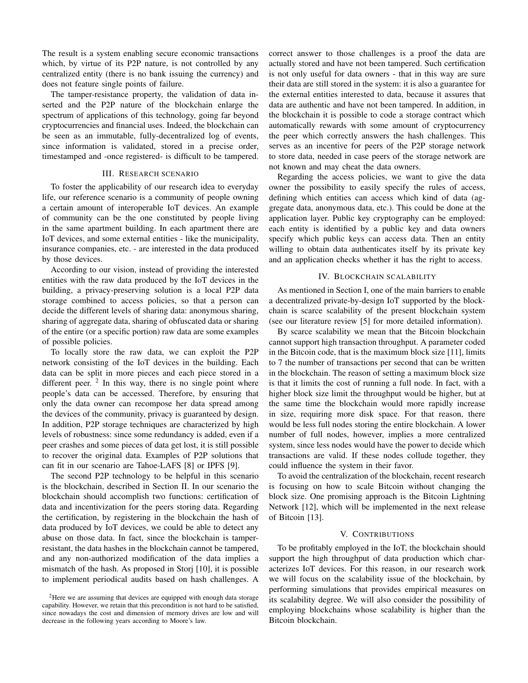The result is a system enabling secure economic transactions which, by virtue of its P2P nature, is not controlled by any centralized entity (there is no bank issuing the currency) and does not feature single points of failure.

The tamper-resistance property, the validation of data inserted and the P2P nature of the blockchain enlarge the spectrum of applications of this technology, going far beyond cryptocurrencies and financial uses. Indeed, the blockchain can be seen as an immutable, fully-decentralized log of events, since information is validated, stored in a precise order, timestamped and -once registered- is difficult to be tampered.

## III. RESEARCH SCENARIO

To foster the applicability of our research idea to everyday life, our reference scenario is a community of people owning a certain amount of interoperable IoT devices. An example of community can be the one constituted by people living in the same apartment building. In each apartment there are IoT devices, and some external entities - like the municipality, insurance companies, etc. - are interested in the data produced by those devices.

According to our vision, instead of providing the interested entities with the raw data produced by the IoT devices in the building, a privacy-preserving solution is a local P2P data storage combined to access policies, so that a person can decide the different levels of sharing data: anonymous sharing, sharing of aggregate data, sharing of obfuscated data or sharing of the entire (or a specific portion) raw data are some examples of possible policies.

To locally store the raw data, we can exploit the P2P network consisting of the IoT devices in the building. Each data can be split in more pieces and each piece stored in a different peer.  $2$  In this way, there is no single point where people's data can be accessed. Therefore, by ensuring that only the data owner can recompose her data spread among the devices of the community, privacy is guaranteed by design. In addition, P2P storage techniques are characterized by high levels of robustness: since some redundancy is added, even if a peer crashes and some pieces of data get lost, it is still possible to recover the original data. Examples of P2P solutions that can fit in our scenario are Tahoe-LAFS [8] or IPFS [9].

The second P2P technology to be helpful in this scenario is the blockchain, described in Section II. In our scenario the blockchain should accomplish two functions: certification of data and incentivization for the peers storing data. Regarding the certification, by registering in the blockchain the hash of data produced by IoT devices, we could be able to detect any abuse on those data. In fact, since the blockchain is tamperresistant, the data hashes in the blockchain cannot be tampered, and any non-authorized modification of the data implies a mismatch of the hash. As proposed in Storj [10], it is possible to implement periodical audits based on hash challenges. A

correct answer to those challenges is a proof the data are actually stored and have not been tampered. Such certification is not only useful for data owners - that in this way are sure their data are still stored in the system: it is also a guarantee for the external entities interested to data, because it assures that data are authentic and have not been tampered. In addition, in the blockchain it is possible to code a storage contract which automatically rewards with some amount of cryptocurrency the peer which correctly answers the hash challenges. This serves as an incentive for peers of the P2P storage network to store data, needed in case peers of the storage network are not known and may cheat the data owners.

Regarding the access policies, we want to give the data owner the possibility to easily specify the rules of access, defining which entities can access which kind of data (aggregate data, anonymous data, etc.). This could be done at the application layer. Public key cryptography can be employed: each entity is identified by a public key and data owners specify which public keys can access data. Then an entity willing to obtain data authenticates itself by its private key and an application checks whether it has the right to access.

### IV. BLOCKCHAIN SCALABILITY

As mentioned in Section I, one of the main barriers to enable a decentralized private-by-design IoT supported by the blockchain is scarce scalability of the present blockchain system (see our literature review [5] for more detailed information).

By scarce scalability we mean that the Bitcoin blockchain cannot support high transaction throughput. A parameter coded in the Bitcoin code, that is the maximum block size [11], limits to 7 the number of transactions per second that can be written in the blockchain. The reason of setting a maximum block size is that it limits the cost of running a full node. In fact, with a higher block size limit the throughput would be higher, but at the same time the blockchain would more rapidly increase in size, requiring more disk space. For that reason, there would be less full nodes storing the entire blockchain. A lower number of full nodes, however, implies a more centralized system, since less nodes would have the power to decide which transactions are valid. If these nodes collude together, they could influence the system in their favor.

To avoid the centralization of the blockchain, recent research is focusing on how to scale Bitcoin without changing the block size. One promising approach is the Bitcoin Lightning Network [12], which will be implemented in the next release of Bitcoin [13].

## V. CONTRIBUTIONS

To be profitably employed in the IoT, the blockchain should support the high throughput of data production which characterizes IoT devices. For this reason, in our research work we will focus on the scalability issue of the blockchain, by performing simulations that provides empirical measures on its scalability degree. We will also consider the possibility of employing blockchains whose scalability is higher than the Bitcoin blockchain.

<sup>&</sup>lt;sup>2</sup>Here we are assuming that devices are equipped with enough data storage capability. However, we retain that this precondition is not hard to be satisfied, since nowadays the cost and dimension of memory drives are low and will decrease in the following years according to Moore's law.